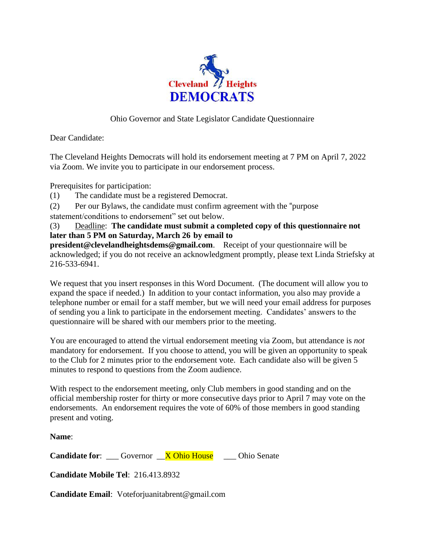

## Ohio Governor and State Legislator Candidate Questionnaire

Dear Candidate:

The Cleveland Heights Democrats will hold its endorsement meeting at 7 PM on April 7, 2022 via Zoom. We invite you to participate in our endorsement process.

Prerequisites for participation:

- (1) The candidate must be a registered Democrat.
- (2) Per our Bylaws, the candidate must confirm agreement with the "purpose
- statement/conditions to endorsement" set out below.

(3) Deadline: **The candidate must submit a completed copy of this questionnaire not later than 5 PM on Saturday, March 26 by email to**

**president@clevelandheightsdems@gmail.com**. Receipt of your questionnaire will be acknowledged; if you do not receive an acknowledgment promptly, please text Linda Striefsky at 216-533-6941.

We request that you insert responses in this Word Document. (The document will allow you to expand the space if needed.) In addition to your contact information, you also may provide a telephone number or email for a staff member, but we will need your email address for purposes of sending you a link to participate in the endorsement meeting. Candidates' answers to the questionnaire will be shared with our members prior to the meeting.

You are encouraged to attend the virtual endorsement meeting via Zoom, but attendance is *not*  mandatory for endorsement. If you choose to attend, you will be given an opportunity to speak to the Club for 2 minutes prior to the endorsement vote. Each candidate also will be given 5 minutes to respond to questions from the Zoom audience.

With respect to the endorsement meeting, only Club members in good standing and on the official membership roster for thirty or more consecutive days prior to April 7 may vote on the endorsements. An endorsement requires the vote of 60% of those members in good standing present and voting.

**Name**:

**Candidate for:** Governor **X Ohio House** Ohio Senate

**Candidate Mobile Tel**: 216.413.8932

**Candidate Email**: Voteforjuanitabrent@gmail.com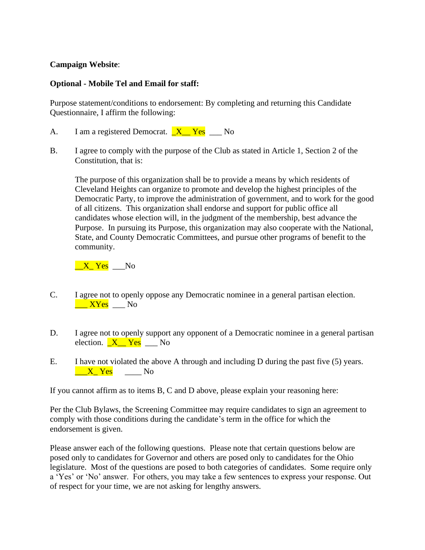## **Campaign Website**:

## **Optional - Mobile Tel and Email for staff:**

Purpose statement/conditions to endorsement: By completing and returning this Candidate Questionnaire, I affirm the following:

- A. I am a registered Democrat.  $X Yes$   $No$
- B. I agree to comply with the purpose of the Club as stated in Article 1, Section 2 of the Constitution, that is:

The purpose of this organization shall be to provide a means by which residents of Cleveland Heights can organize to promote and develop the highest principles of the Democratic Party, to improve the administration of government, and to work for the good of all citizens. This organization shall endorse and support for public office all candidates whose election will, in the judgment of the membership, best advance the Purpose. In pursuing its Purpose, this organization may also cooperate with the National, State, and County Democratic Committees, and pursue other programs of benefit to the community.

 $\underline{\phantom{a}}X\underline{\phantom{a}}Yes \underline{\phantom{a}}No$ 

- C. I agree not to openly oppose any Democratic nominee in a general partisan election.  $\frac{XYes}{XYes}$  No
- D. I agree not to openly support any opponent of a Democratic nominee in a general partisan election.  $X_i = Y_{\text{es}}$   $X_i = N_0$
- E. I have not violated the above A through and including D during the past five (5) years.  $\overline{X}$  Yes No

If you cannot affirm as to items B, C and D above, please explain your reasoning here:

Per the Club Bylaws, the Screening Committee may require candidates to sign an agreement to comply with those conditions during the candidate's term in the office for which the endorsement is given.

Please answer each of the following questions. Please note that certain questions below are posed only to candidates for Governor and others are posed only to candidates for the Ohio legislature. Most of the questions are posed to both categories of candidates. Some require only a 'Yes' or 'No' answer. For others, you may take a few sentences to express your response. Out of respect for your time, we are not asking for lengthy answers.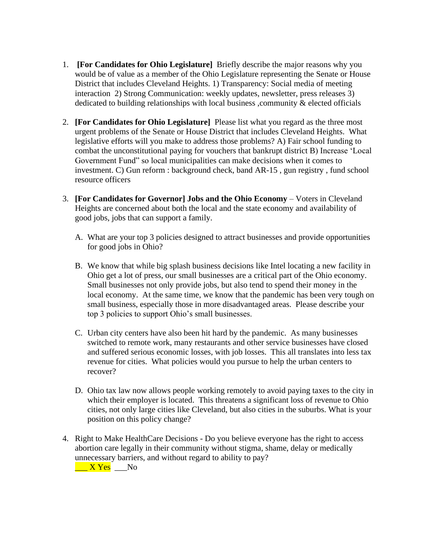- 1. **[For Candidates for Ohio Legislature]** Briefly describe the major reasons why you would be of value as a member of the Ohio Legislature representing the Senate or House District that includes Cleveland Heights. 1) Transparency: Social media of meeting interaction 2) Strong Communication: weekly updates, newsletter, press releases 3) dedicated to building relationships with local business , community & elected officials
- 2. **[For Candidates for Ohio Legislature]** Please list what you regard as the three most urgent problems of the Senate or House District that includes Cleveland Heights. What legislative efforts will you make to address those problems? A) Fair school funding to combat the unconstitutional paying for vouchers that bankrupt district B) Increase 'Local Government Fund" so local municipalities can make decisions when it comes to investment. C) Gun reform : background check, band AR-15 , gun registry , fund school resource officers
- 3. **[For Candidates for Governor] Jobs and the Ohio Economy** Voters in Cleveland Heights are concerned about both the local and the state economy and availability of good jobs, jobs that can support a family.
	- A. What are your top 3 policies designed to attract businesses and provide opportunities for good jobs in Ohio?
	- B. We know that while big splash business decisions like Intel locating a new facility in Ohio get a lot of press, our small businesses are a critical part of the Ohio economy. Small businesses not only provide jobs, but also tend to spend their money in the local economy. At the same time, we know that the pandemic has been very tough on small business, especially those in more disadvantaged areas. Please describe your top 3 policies to support Ohio's small businesses.
	- C. Urban city centers have also been hit hard by the pandemic. As many businesses switched to remote work, many restaurants and other service businesses have closed and suffered serious economic losses, with job losses. This all translates into less tax revenue for cities. What policies would you pursue to help the urban centers to recover?
	- D. Ohio tax law now allows people working remotely to avoid paying taxes to the city in which their employer is located. This threatens a significant loss of revenue to Ohio cities, not only large cities like Cleveland, but also cities in the suburbs. What is your position on this policy change?
- 4. Right to Make HealthCare Decisions Do you believe everyone has the right to access abortion care legally in their community without stigma, shame, delay or medically unnecessary barriers, and without regard to ability to pay?

 $\frac{X \text{Yes}}{X}$  No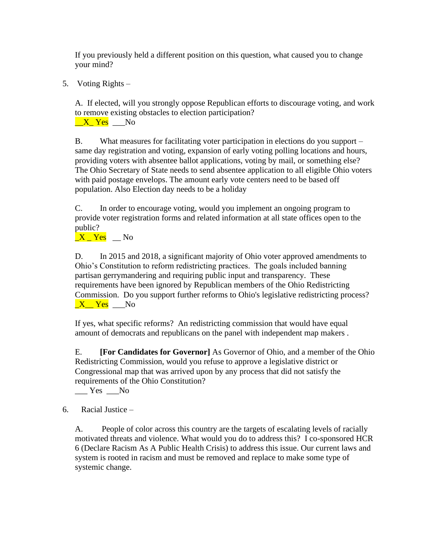If you previously held a different position on this question, what caused you to change your mind?

5. Voting Rights –

A. If elected, will you strongly oppose Republican efforts to discourage voting, and work to remove existing obstacles to election participation?

 $X_Y$  Yes  $N_0$ 

B. What measures for facilitating voter participation in elections do you support – same day registration and voting, expansion of early voting polling locations and hours, providing voters with absentee ballot applications, voting by mail, or something else? The Ohio Secretary of State needs to send absentee application to all eligible Ohio voters with paid postage envelops. The amount early vote centers need to be based off population. Also Election day needs to be a holiday

C. In order to encourage voting, would you implement an ongoing program to provide voter registration forms and related information at all state offices open to the public?

 $X$   $Yes$   $No$ 

D. In 2015 and 2018, a significant majority of Ohio voter approved amendments to Ohio's Constitution to reform redistricting practices. The goals included banning partisan gerrymandering and requiring public input and transparency. These requirements have been ignored by Republican members of the Ohio Redistricting Commission. Do you support further reforms to Ohio's legislative redistricting process?  $\underline{X}$  Yes  $\underline{N}$ 

If yes, what specific reforms? An redistricting commission that would have equal amount of democrats and republicans on the panel with independent map makers .

E. **[For Candidates for Governor]** As Governor of Ohio, and a member of the Ohio Redistricting Commission, would you refuse to approve a legislative district or Congressional map that was arrived upon by any process that did not satisfy the requirements of the Ohio Constitution?

 $Yes$   $No$ 

## 6. Racial Justice –

A. People of color across this country are the targets of escalating levels of racially motivated threats and violence. What would you do to address this? I co-sponsored HCR 6 (Declare Racism As A Public Health Crisis) to address this issue. Our current laws and system is rooted in racism and must be removed and replace to make some type of systemic change.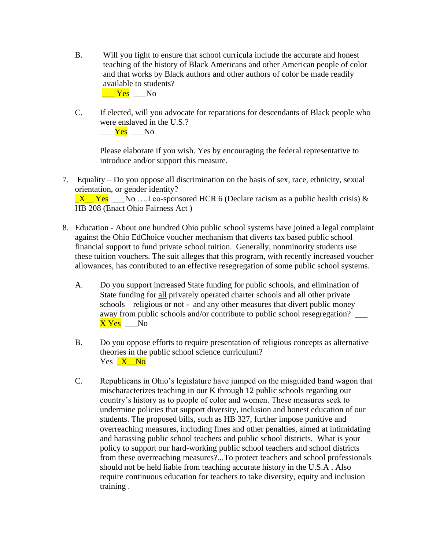- B. Will you fight to ensure that school curricula include the accurate and honest teaching of the history of Black Americans and other American people of color and that works by Black authors and other authors of color be made readily available to students?  $\frac{V_{\text{res}}}{V_{\text{res}}}$   $\frac{V_{\text{res}}}{V_{\text{res}}}$
- C. If elected, will you advocate for reparations for descendants of Black people who were enslaved in the U.S.?  $\rule{1em}{0.15mm}$   $\frac{\text{Yes}}{\text{Yes}}$   $\frac{\text{No}}{\text{No}}$

Please elaborate if you wish. Yes by encouraging the federal representative to introduce and/or support this measure.

- 7. Equality Do you oppose all discrimination on the basis of sex, race, ethnicity, sexual orientation, or gender identity?  $X$  Yes No ….I co-sponsored HCR 6 (Declare racism as a public health crisis) & HB 208 (Enact Ohio Fairness Act )
- 8. Education About one hundred Ohio public school systems have joined a legal complaint against the Ohio EdChoice voucher mechanism that diverts tax based public school financial support to fund private school tuition. Generally, nonminority students use these tuition vouchers. The suit alleges that this program, with recently increased voucher allowances, has contributed to an effective resegregation of some public school systems.
	- A. Do you support increased State funding for public schools, and elimination of State funding for all privately operated charter schools and all other private schools – religious or not - and any other measures that divert public money away from public schools and/or contribute to public school resegregation? \_\_\_ X Yes \_\_\_No
	- B. Do you oppose efforts to require presentation of religious concepts as alternative theories in the public school science curriculum? Yes X No
	- C. Republicans in Ohio's legislature have jumped on the misguided band wagon that mischaracterizes teaching in our K through 12 public schools regarding our country's history as to people of color and women. These measures seek to undermine policies that support diversity, inclusion and honest education of our students. The proposed bills, such as HB 327, further impose punitive and overreaching measures, including fines and other penalties, aimed at intimidating and harassing public school teachers and public school districts. What is your policy to support our hard-working public school teachers and school districts from these overreaching measures?...To protect teachers and school professionals should not be held liable from teaching accurate history in the U.S.A . Also require continuous education for teachers to take diversity, equity and inclusion training .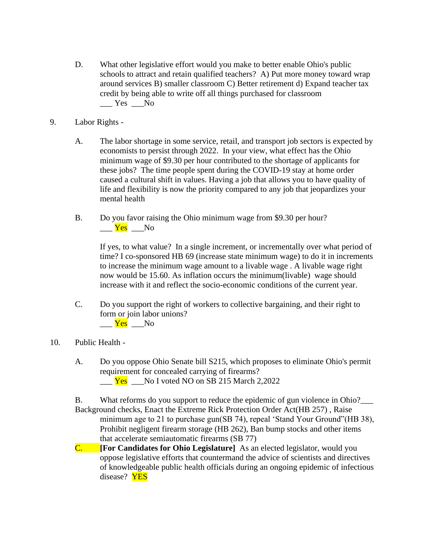- D. What other legislative effort would you make to better enable Ohio's public schools to attract and retain qualified teachers? A) Put more money toward wrap around services B) smaller classroom C) Better retirement d) Expand teacher tax credit by being able to write off all things purchased for classroom  $Yes$   $No$
- 9. Labor Rights
	- A. The labor shortage in some service, retail, and transport job sectors is expected by economists to persist through 2022. In your view, what effect has the Ohio minimum wage of \$9.30 per hour contributed to the shortage of applicants for these jobs? The time people spent during the COVID-19 stay at home order caused a cultural shift in values. Having a job that allows you to have quality of life and flexibility is now the priority compared to any job that jeopardizes your mental health
	- B. Do you favor raising the Ohio minimum wage from \$9.30 per hour?  $\frac{Yes}{Yes}$  No

If yes, to what value? In a single increment, or incrementally over what period of time? I co-sponsored HB 69 (increase state minimum wage) to do it in increments to increase the minimum wage amount to a livable wage . A livable wage right now would be 15.60. As inflation occurs the minimum(livable) wage should increase with it and reflect the socio-economic conditions of the current year.

- C. Do you support the right of workers to collective bargaining, and their right to form or join labor unions?  $\frac{Yes}{Yes}$  No
- 10. Public Health
	- A. Do you oppose Ohio Senate bill S215, which proposes to eliminate Ohio's permit requirement for concealed carrying of firearms?  $\frac{Yes}{Yes}$  No I voted NO on SB 215 March 2,2022

B. What reforms do you support to reduce the epidemic of gun violence in Ohio? Background checks, Enact the Extreme Rick Protection Order Act(HB 257) , Raise minimum age to 21 to purchase gun(SB 74), repeal 'Stand Your Ground" (HB 38), Prohibit negligent firearm storage (HB 262), Ban bump stocks and other items that accelerate semiautomatic firearms (SB 77)

C. **[For Candidates for Ohio Legislature]** As an elected legislator, would you oppose legislative efforts that countermand the advice of scientists and directives of knowledgeable public health officials during an ongoing epidemic of infectious disease? YES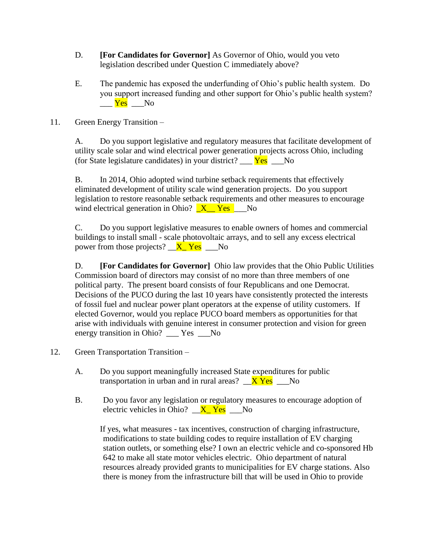- D. **[For Candidates for Governor]** As Governor of Ohio, would you veto legislation described under Question C immediately above?
- E. The pandemic has exposed the underfunding of Ohio's public health system. Do you support increased funding and other support for Ohio's public health system?  $\rule{1em}{0.15mm}$   $\frac{\text{Yes}}{\text{Yes}}$   $\frac{\text{No}}{\text{No}}$
- 11. Green Energy Transition –

A. Do you support legislative and regulatory measures that facilitate development of utility scale solar and wind electrical power generation projects across Ohio, including (for State legislature candidates) in your district?  $Y_{\text{es}}$  No

B. In 2014, Ohio adopted wind turbine setback requirements that effectively eliminated development of utility scale wind generation projects. Do you support legislation to restore reasonable setback requirements and other measures to encourage wind electrical generation in Ohio?  $X$  Yes No

C. Do you support legislative measures to enable owners of homes and commercial buildings to install small - scale photovoltaic arrays, and to sell any excess electrical power from those projects?  $X$ <sup>Ves</sup>  $\_\$ 

D. **[For Candidates for Governor]** Ohio law provides that the Ohio Public Utilities Commission board of directors may consist of no more than three members of one political party. The present board consists of four Republicans and one Democrat. Decisions of the PUCO during the last 10 years have consistently protected the interests of fossil fuel and nuclear power plant operators at the expense of utility customers. If elected Governor, would you replace PUCO board members as opportunities for that arise with individuals with genuine interest in consumer protection and vision for green energy transition in Ohio? \_\_\_ Yes \_\_\_No

- 12. Green Transportation Transition
	- A. Do you support meaningfully increased State expenditures for public transportation in urban and in rural areas?  $XYes$  No
	- B. Do you favor any legislation or regulatory measures to encourage adoption of electric vehicles in Ohio?  $\overline{X}$  Yes No

If yes, what measures - tax incentives, construction of charging infrastructure, modifications to state building codes to require installation of EV charging station outlets, or something else? I own an electric vehicle and co-sponsored Hb 642 to make all state motor vehicles electric. Ohio department of natural resources already provided grants to municipalities for EV charge stations. Also there is money from the infrastructure bill that will be used in Ohio to provide